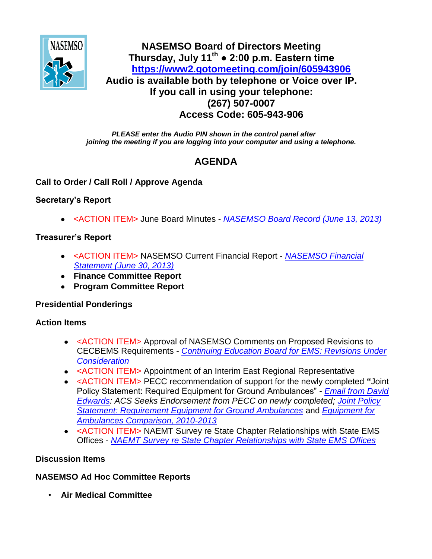

## **NASEMSO Board of Directors Meeting Thursday, July 11th ● 2:00 p.m. Eastern time <https://www2.gotomeeting.com/join/605943906> Audio is available both by telephone or Voice over IP. If you call in using your telephone: (267) 507-0007 Access Code: 605-943-906**

*PLEASE enter the Audio PIN shown in the control panel after joining the meeting if you are logging into your computer and using a telephone.*

# **AGENDA**

#### **Call to Order / Call Roll / Approve Agenda**

#### **Secretary's Report**

<ACTION ITEM> June Board Minutes - *[NASEMSO Board Record \(June 13, 2013\)](https://www.nasemso.org/Members/Board/documents/NASEMSO-Board-Record-13June2013.pdf)*

### **Treasurer's Report**

- <ACTION ITEM> NASEMSO Current Financial Report *[NASEMSO Financial](https://www.nasemso.org/Members/Board/documents/NASEMSO-Financial-Statement-30June2013.pdf)  [Statement \(June 30, 2013\)](https://www.nasemso.org/Members/Board/documents/NASEMSO-Financial-Statement-30June2013.pdf)*
- **Finance Committee Report**
- **Program Committee Report**

#### **Presidential Ponderings**

#### **Action Items**

- <ACTION ITEM> Approval of NASEMSO Comments on Proposed Revisions to CECBEMS Requirements - *[Continuing Education Board for EMS: Revisions Under](https://www.nasemso.org/Members/Board/documents/CECBEMS-Revisions-Under-Consideration.pdf)  [Consideration](https://www.nasemso.org/Members/Board/documents/CECBEMS-Revisions-Under-Consideration.pdf)*
- <ACTION ITEM> Appointment of an Interim East Regional Representative
- <ACTION ITEM> PECC recommendation of support for the newly completed **"**Joint Policy Statement: Required Equipment for Ground Ambulances" - *[Email from David](https://www.nasemso.org/Members/Board/documents/David-Edwards-Email-03July2013.pdf)  [Edwards:](https://www.nasemso.org/Members/Board/documents/David-Edwards-Email-03July2013.pdf) ACS Seeks Endorsement from PECC on newly completed; [Joint Policy](https://www.nasemso.org/Members/Board/documents/Ambulance-Equipment-List_final_2013.pdf)  [Statement: Requirement Equipment for Ground Ambulances](https://www.nasemso.org/Members/Board/documents/Ambulance-Equipment-List_final_2013.pdf)* and *[Equipment for](https://www.nasemso.org/Members/Board/documents/Equipment-for-Ambulances-Comparison_2010-2013.xlsx)  [Ambulances Comparison, 2010-2013](https://www.nasemso.org/Members/Board/documents/Equipment-for-Ambulances-Comparison_2010-2013.xlsx)*
- <ACTION ITEM> NAEMT Survey re State Chapter Relationships with State EMS Offices - *[NAEMT Survey re State Chapter Relationships with State EMS Offices](https://www.nasemso.org/Members/Board/documents/Affiliate-Advisory-Council-Survey-of-State-EMS-Offices.pdf)*

## **Discussion Items**

## **NASEMSO Ad Hoc Committee Reports**

• **Air Medical Committee**